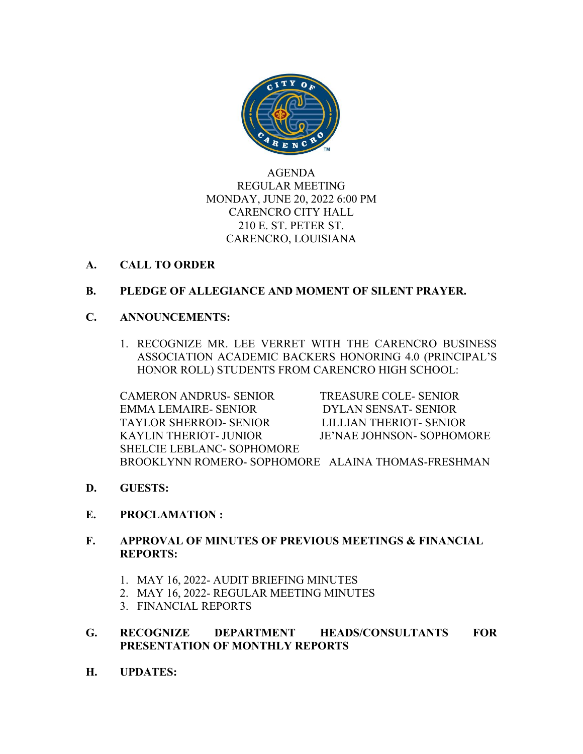

AGENDA REGULAR MEETING MONDAY, JUNE 20, 2022 6:00 PM CARENCRO CITY HALL 210 E. ST. PETER ST. CARENCRO, LOUISIANA

# **A. CALL TO ORDER**

# **B. PLEDGE OF ALLEGIANCE AND MOMENT OF SILENT PRAYER.**

## **C. ANNOUNCEMENTS:**

1. RECOGNIZE MR. LEE VERRET WITH THE CARENCRO BUSINESS ASSOCIATION ACADEMIC BACKERS HONORING 4.0 (PRINCIPAL'S HONOR ROLL) STUDENTS FROM CARENCRO HIGH SCHOOL:

CAMERON ANDRUS- SENIOR TREASURE COLE- SENIOR EMMA LEMAIRE- SENIOR DYLAN SENSAT- SENIOR TAYLOR SHERROD- SENIOR LILLIAN THERIOT- SENIOR KAYLIN THERIOT- JUNIOR JE'NAE JOHNSON- SOPHOMORE SHELCIE LEBLANC- SOPHOMORE BROOKLYNN ROMERO- SOPHOMORE ALAINA THOMAS-FRESHMAN

- **D. GUESTS:**
- **E. PROCLAMATION :**

# **F. APPROVAL OF MINUTES OF PREVIOUS MEETINGS & FINANCIAL REPORTS:**

- 1. MAY 16, 2022- AUDIT BRIEFING MINUTES
- 2. MAY 16, 2022- REGULAR MEETING MINUTES
- 3. FINANCIAL REPORTS

# **G. RECOGNIZE DEPARTMENT HEADS/CONSULTANTS FOR PRESENTATION OF MONTHLY REPORTS**

**H. UPDATES:**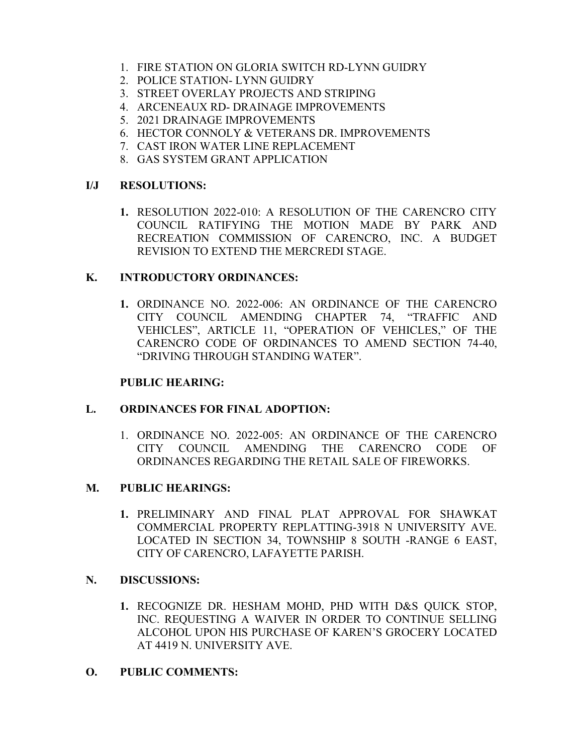- 1. FIRE STATION ON GLORIA SWITCH RD-LYNN GUIDRY
- 2. POLICE STATION- LYNN GUIDRY
- 3. STREET OVERLAY PROJECTS AND STRIPING
- 4. ARCENEAUX RD- DRAINAGE IMPROVEMENTS
- 5. 2021 DRAINAGE IMPROVEMENTS
- 6. HECTOR CONNOLY & VETERANS DR. IMPROVEMENTS
- 7. CAST IRON WATER LINE REPLACEMENT
- 8. GAS SYSTEM GRANT APPLICATION

# **I/J RESOLUTIONS:**

**1.** RESOLUTION 2022-010: A RESOLUTION OF THE CARENCRO CITY COUNCIL RATIFYING THE MOTION MADE BY PARK AND RECREATION COMMISSION OF CARENCRO, INC. A BUDGET REVISION TO EXTEND THE MERCREDI STAGE.

# **K. INTRODUCTORY ORDINANCES:**

**1.** ORDINANCE NO. 2022-006: AN ORDINANCE OF THE CARENCRO CITY COUNCIL AMENDING CHAPTER 74, "TRAFFIC AND VEHICLES", ARTICLE 11, "OPERATION OF VEHICLES," OF THE CARENCRO CODE OF ORDINANCES TO AMEND SECTION 74-40, "DRIVING THROUGH STANDING WATER".

# **PUBLIC HEARING:**

# **L. ORDINANCES FOR FINAL ADOPTION:**

1. ORDINANCE NO. 2022-005: AN ORDINANCE OF THE CARENCRO CITY COUNCIL AMENDING THE CARENCRO CODE OF ORDINANCES REGARDING THE RETAIL SALE OF FIREWORKS.

# **M. PUBLIC HEARINGS:**

**1.** PRELIMINARY AND FINAL PLAT APPROVAL FOR SHAWKAT COMMERCIAL PROPERTY REPLATTING-3918 N UNIVERSITY AVE. LOCATED IN SECTION 34, TOWNSHIP 8 SOUTH -RANGE 6 EAST, CITY OF CARENCRO, LAFAYETTE PARISH.

# **N. DISCUSSIONS:**

**1.** RECOGNIZE DR. HESHAM MOHD, PHD WITH D&S QUICK STOP, INC. REQUESTING A WAIVER IN ORDER TO CONTINUE SELLING ALCOHOL UPON HIS PURCHASE OF KAREN'S GROCERY LOCATED AT 4419 N. UNIVERSITY AVE.

# **O. PUBLIC COMMENTS:**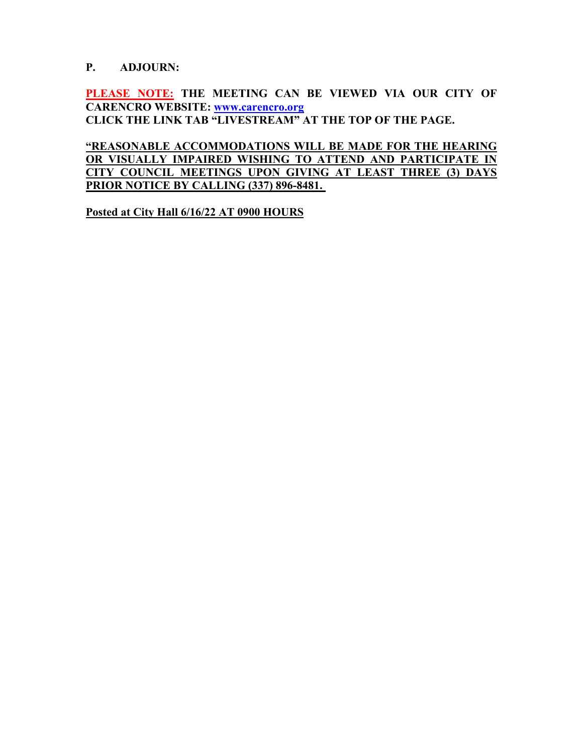## **P. ADJOURN:**

**PLEASE NOTE: THE MEETING CAN BE VIEWED VIA OUR CITY OF CARENCRO WEBSITE: [www.carencro.org](http://www.carencro.org/) CLICK THE LINK TAB "LIVESTREAM´ AT THE TOP OF THE PAGE.**

**"REASONABLE ACCOMMODATIONS WILL BE MADE FOR THE HEARING OR VISUALLY IMPAIRED WISHING TO ATTEND AND PARTICIPATE IN CITY COUNCIL MEETINGS UPON GIVING AT LEAST THREE (3) DAYS PRIOR NOTICE BY CALLING (337) 896-8481.**

**Posted at City Hall 6/16/22 AT 0900 HOURS**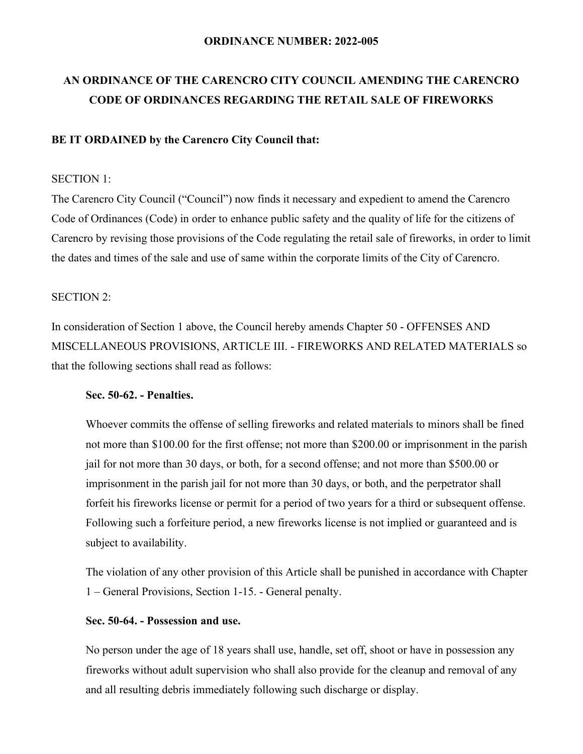#### **ORDINANCE NUMBER: 2022-005**

# **AN ORDINANCE OF THE CARENCRO CITY COUNCIL AMENDING THE CARENCRO CODE OF ORDINANCES REGARDING THE RETAIL SALE OF FIREWORKS**

#### **BE IT ORDAINED by the Carencro City Council that:**

#### SECTION 1:

The Carencro City Council ("Council") now finds it necessary and expedient to amend the Carencro Code of Ordinances (Code) in order to enhance public safety and the quality of life for the citizens of Carencro by revising those provisions of the Code regulating the retail sale of fireworks, in order to limit the dates and times of the sale and use of same within the corporate limits of the City of Carencro.

#### SECTION 2:

In consideration of Section 1 above, the Council hereby amends Chapter 50 - OFFENSES AND MISCELLANEOUS PROVISIONS, ARTICLE III. - FIREWORKS AND RELATED MATERIALS so that the following sections shall read as follows:

#### **Sec. 50-62. - Penalties.**

Whoever commits the offense of selling fireworks and related materials to minors shall be fined not more than \$100.00 for the first offense; not more than \$200.00 or imprisonment in the parish jail for not more than 30 days, or both, for a second offense; and not more than \$500.00 or imprisonment in the parish jail for not more than 30 days, or both, and the perpetrator shall forfeit his fireworks license or permit for a period of two years for a third or subsequent offense. Following such a forfeiture period, a new fireworks license is not implied or guaranteed and is subject to availability.

The violation of any other provision of this Article shall be punished in accordance with Chapter 1 – General Provisions, Section 1-15. - General penalty.

#### **Sec. 50-64. - Possession and use.**

No person under the age of 18 years shall use, handle, set off, shoot or have in possession any fireworks without adult supervision who shall also provide for the cleanup and removal of any and all resulting debris immediately following such discharge or display.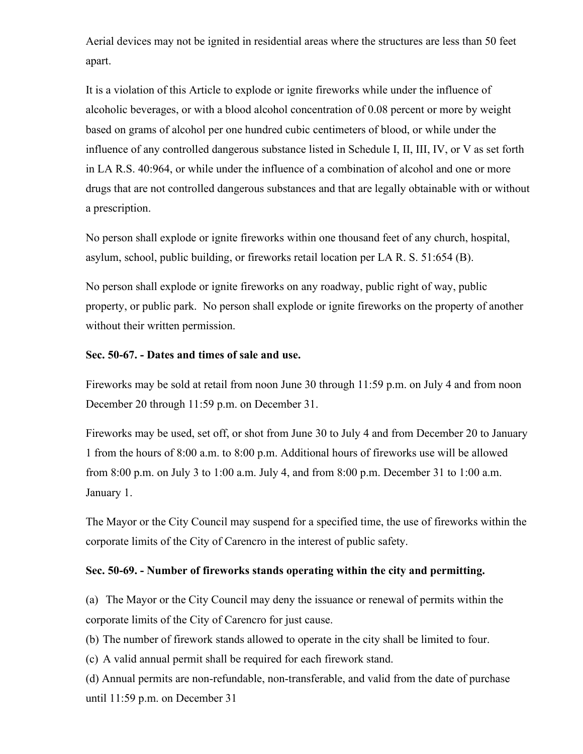Aerial devices may not be ignited in residential areas where the structures are less than 50 feet apart.

It is a violation of this Article to explode or ignite fireworks while under the influence of alcoholic beverages, or with a blood alcohol concentration of 0.08 percent or more by weight based on grams of alcohol per one hundred cubic centimeters of blood, or while under the influence of any controlled dangerous substance listed in Schedule I, II, III, IV, or V as set forth in LA R.S. 40:964, or while under the influence of a combination of alcohol and one or more drugs that are not controlled dangerous substances and that are legally obtainable with or without a prescription.

No person shall explode or ignite fireworks within one thousand feet of any church, hospital, asylum, school, public building, or fireworks retail location per LA R. S. 51:654 (B).

No person shall explode or ignite fireworks on any roadway, public right of way, public property, or public park. No person shall explode or ignite fireworks on the property of another without their written permission.

#### **Sec. 50-67. - Dates and times of sale and use.**

Fireworks may be sold at retail from noon June 30 through 11:59 p.m. on July 4 and from noon December 20 through 11:59 p.m. on December 31.

Fireworks may be used, set off, or shot from June 30 to July 4 and from December 20 to January 1 from the hours of 8:00 a.m. to 8:00 p.m. Additional hours of fireworks use will be allowed from 8:00 p.m. on July 3 to 1:00 a.m. July 4, and from 8:00 p.m. December 31 to 1:00 a.m. January 1.

The Mayor or the City Council may suspend for a specified time, the use of fireworks within the corporate limits of the City of Carencro in the interest of public safety.

#### **Sec. 50-69. - Number of fireworks stands operating within the city and permitting.**

(a) The Mayor or the City Council may deny the issuance or renewal of permits within the corporate limits of the City of Carencro for just cause.

(b) The number of firework stands allowed to operate in the city shall be limited to four.

(c) A valid annual permit shall be required for each firework stand.

(d) Annual permits are non-refundable, non-transferable, and valid from the date of purchase until 11:59 p.m. on December 31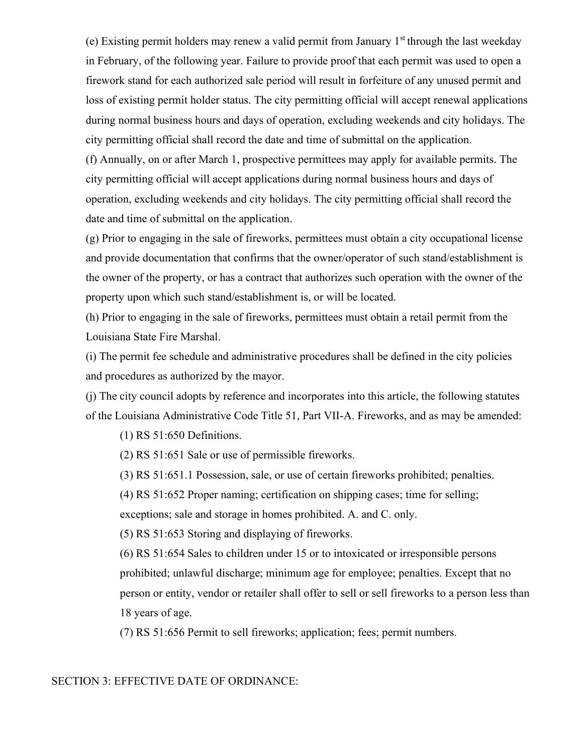(e) Existing permit holders may renew a valid permit from January  $1<sup>st</sup>$  through the last weekday in February, of the following year. Failure to provide proof that each permit was used to open a firework stand for each authorized sale period will result in forfeiture of any unused permit and loss of existing permit holder status. The city permitting official will accept renewal applications during normal business hours and days of operation, excluding weekends and city holidays. The city permitting official shall record the date and time of submittal on the application.

(f) Annually, on or after March 1, prospective permittees may apply for available permits. The city permitting official will accept applications during normal business hours and days of operation, excluding weekends and city holidays. The city permitting official shall record the date and time of submittal on the application.

(g) Prior to engaging in the sale of fireworks, permittees must obtain a city occupational license and provide documentation that confirms that the owner/operator of such stand/establishment is the owner of the property, or has a contract that authorizes such operation with the owner of the property upon which such stand/establishment is, or will be located.

(h) Prior to engaging in the sale of fireworks, permittees must obtain a retail permit from the Louisiana State Fire Marshal.

(i) The permit fee schedule and administrative procedures shall be defined in the city policies and procedures as authorized by the mayor.

(j) The city council adopts by reference and incorporates into this article, the following statutes of the Louisiana Administrative Code Title 51, Part VII-A. Fireworks, and as may be amended:

(1) RS 51:650 Definitions.

(2) RS 51:651 Sale or use of permissible fireworks.

(3) RS 51:651.1 Possession, sale, or use of certain fireworks prohibited; penalties.

(4) RS 51:652 Proper naming; certification on shipping cases; time for selling;

exceptions; sale and storage in homes prohibited. A. and C. only.

(5) RS 51:653 Storing and displaying of fireworks.

(6) RS 51:654 Sales to children under 15 or to intoxicated or irresponsible persons prohibited; unlawful discharge; minimum age for employee; penalties. Except that no person or entity, vendor or retailer shall offer to sell or sell fireworks to a person less than 18 years of age.

(7) RS 51:656 Permit to sell fireworks; application; fees; permit numbers.

#### SECTION 3: EFFECTIVE DATE OF ORDINANCE: